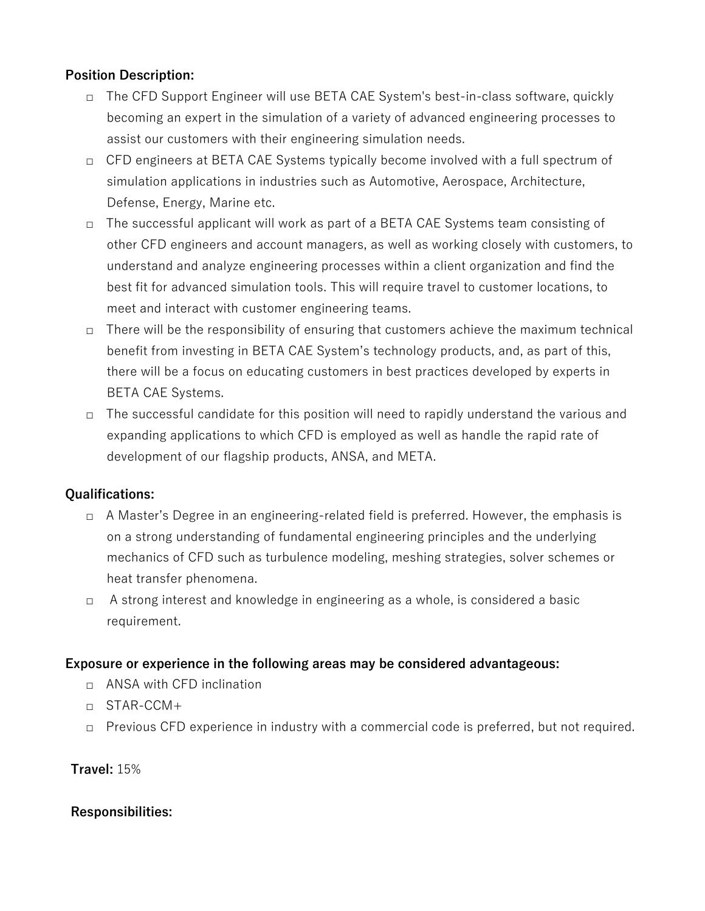## **Position Description:**

- □ The CFD Support Engineer will use BETA CAE System's best-in-class software, quickly becoming an expert in the simulation of a variety of advanced engineering processes to assist our customers with their engineering simulation needs.
- □ CFD engineers at BETA CAE Systems typically become involved with a full spectrum of simulation applications in industries such as Automotive, Aerospace, Architecture, Defense, Energy, Marine etc.
- □ The successful applicant will work as part of a BETA CAE Systems team consisting of other CFD engineers and account managers, as well as working closely with customers, to understand and analyze engineering processes within a client organization and find the best fit for advanced simulation tools. This will require travel to customer locations, to meet and interact with customer engineering teams.
- $\Box$  There will be the responsibility of ensuring that customers achieve the maximum technical benefit from investing in BETA CAE System's technology products, and, as part of this, there will be a focus on educating customers in best practices developed by experts in BETA CAE Systems.
- □ The successful candidate for this position will need to rapidly understand the various and expanding applications to which CFD is employed as well as handle the rapid rate of development of our flagship products, ANSA, and META.

### **Qualifications:**

- □ A Master's Degree in an engineering-related field is preferred. However, the emphasis is on a strong understanding of fundamental engineering principles and the underlying mechanics of CFD such as turbulence modeling, meshing strategies, solver schemes or heat transfer phenomena.
- □ A strong interest and knowledge in engineering as a whole, is considered a basic requirement.

### **Exposure or experience in the following areas may be considered advantageous:**

- □ ANSA with CFD inclination
- □ STAR-CCM+
- □ Previous CFD experience in industry with a commercial code is preferred, but not required.

# **Travel:** 15%

# **Responsibilities:**